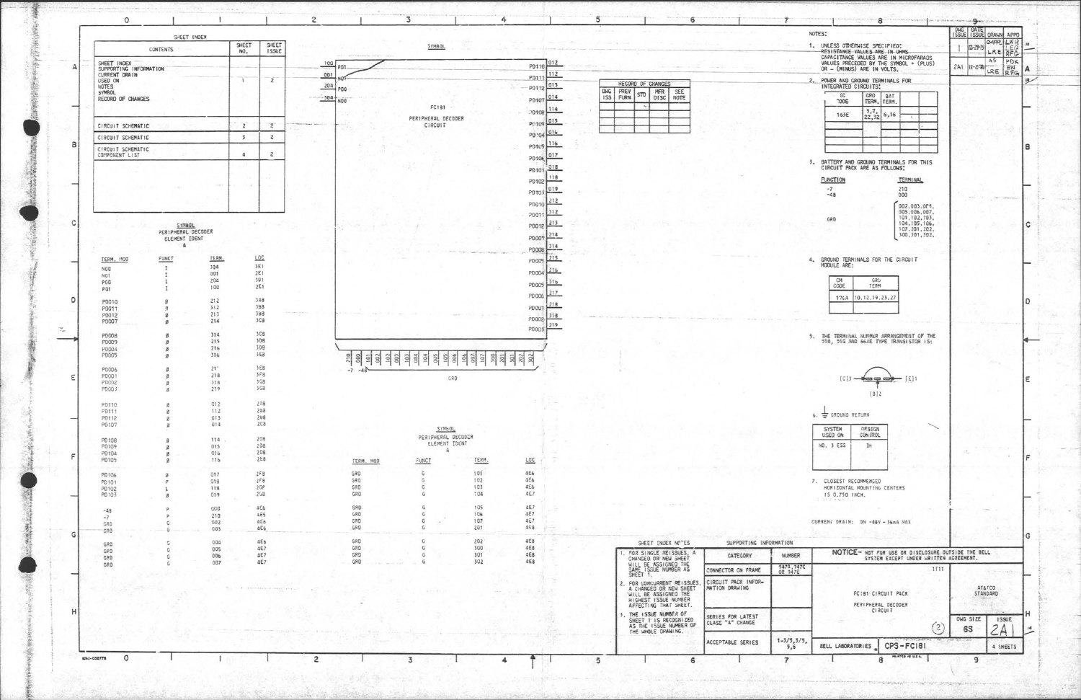

平安地震

≪縫

Ą

美国

大地震災害

动态方向

| NOTES:                                                                                        | <b>DMG</b> | - 9<br>DATE            |                    |                  |     |
|-----------------------------------------------------------------------------------------------|------------|------------------------|--------------------|------------------|-----|
| 1. UNLESS OTHERWISE SPECIFIED:                                                                |            | ISSUE ISSUE DRAWN APPD | CAPPLILWR          |                  | 134 |
| RESISTANCE VALUES ARE IN UHMS<br>CAPACITANCE VALUES ARE IN MICROFARADS                        |            | $12 - 29 - 15$         | LRE<br>AS.         | <b>AFG</b>       |     |
| VALUES PRECEDED BY THE SYMBOL + (PLUS)<br>OR - (MINUS) ARE IN VOLTS.                          | 2AT        | 注-27節                  | LRE                | PDK<br>EN<br>RFG | А   |
| 2. POWER AND GROUND TERMINALS FOR<br>INTEGRATED CIRCUITS:                                     |            |                        |                    |                  | 現   |
| ïC<br>GRD<br><b>BAT</b><br><b>CODE</b><br>TERM.<br>TERM.                                      |            |                        |                    |                  |     |
| 5,7,<br>6,16<br>163E                                                                          |            |                        |                    |                  |     |
| 22,32<br>x<br>v                                                                               |            |                        |                    |                  |     |
|                                                                                               |            |                        |                    |                  |     |
|                                                                                               |            |                        |                    |                  | в   |
| 3. BATTERY AND GROUND TERMINALS FOR THIS<br>CIRCUIT PACK ARE AS FOLLOWS:                      |            |                        |                    |                  |     |
| <b>FUNCTION</b><br>TERMINAL                                                                   |            |                        |                    |                  |     |
| $-7$<br>210<br>$-48$<br>000                                                                   |            |                        |                    |                  |     |
| 002.003.001.                                                                                  |            |                        |                    |                  |     |
| 005,006,007,<br>101, 102, 103,<br>GRD                                                         |            |                        |                    |                  |     |
| 104, 105, 106,<br>107, 201, 202,                                                              |            |                        |                    |                  | c   |
| 300, 301, 302,                                                                                |            |                        |                    |                  |     |
| GROUND TERMINALS FOR THE CIRCUIT<br>4.                                                        |            |                        |                    |                  |     |
| MODULE ARE:                                                                                   |            |                        |                    |                  |     |
| GRU<br>CM<br>CODE<br>TERM                                                                     |            |                        |                    |                  |     |
| 176A<br>10.12.19.23.27                                                                        |            |                        |                    |                  | D   |
|                                                                                               |            |                        |                    |                  |     |
|                                                                                               |            |                        |                    |                  |     |
| $[C]$ $\overline{5}$ –<br>$\rightarrow$ [8]<br>$\equiv$<br>B12                                |            |                        |                    |                  | ε   |
| 6. S GROUND RETURN                                                                            |            |                        |                    |                  |     |
| <b><i>DESIGN</i></b><br><b>SYSTEM</b><br>CON IROL<br>USED ON                                  |            |                        |                    |                  |     |
| NO. 3 ESS<br>ΙH                                                                               |            |                        |                    |                  |     |
|                                                                                               |            |                        |                    |                  | F   |
| 7. CLOSEST RECOMMENCED<br>HORIZONTAL MOUNTING CENTERS<br>IS 0.750 INCH.<br>COURSearch William |            |                        |                    |                  |     |
|                                                                                               |            |                        |                    |                  |     |
| CURRENT DRAIN: ON -48V - 36mA MAX                                                             |            |                        |                    |                  |     |
|                                                                                               |            |                        |                    |                  | G   |
| NOTICE- NOT FOR USE OR DISCLOSURE OUTSIDE THE BELL<br>SYSTEM EXCEPT UNDER WRITTEN AGREEMENT.  |            |                        |                    |                  |     |
| 1111                                                                                          |            |                        |                    |                  |     |
|                                                                                               |            |                        |                    |                  |     |
| FC181 CIRCUIT PACK                                                                            |            |                        | AT&TCO<br>STANDARD |                  |     |
| PERIPHERAL DECODER<br>CIRCUIT                                                                 |            |                        |                    |                  |     |
|                                                                                               |            | DWG SIZE               |                    | <b>ISSUE</b>     | н   |
| $\overline{2}$                                                                                |            | 6S                     |                    |                  |     |
| 1/5,<br>CPS-FC181<br><b>BELL LABORATORIES</b>                                                 |            |                        |                    | 4 SHEETS         |     |
| MITTED IN U.S.A.<br>8                                                                         |            | Э                      |                    |                  |     |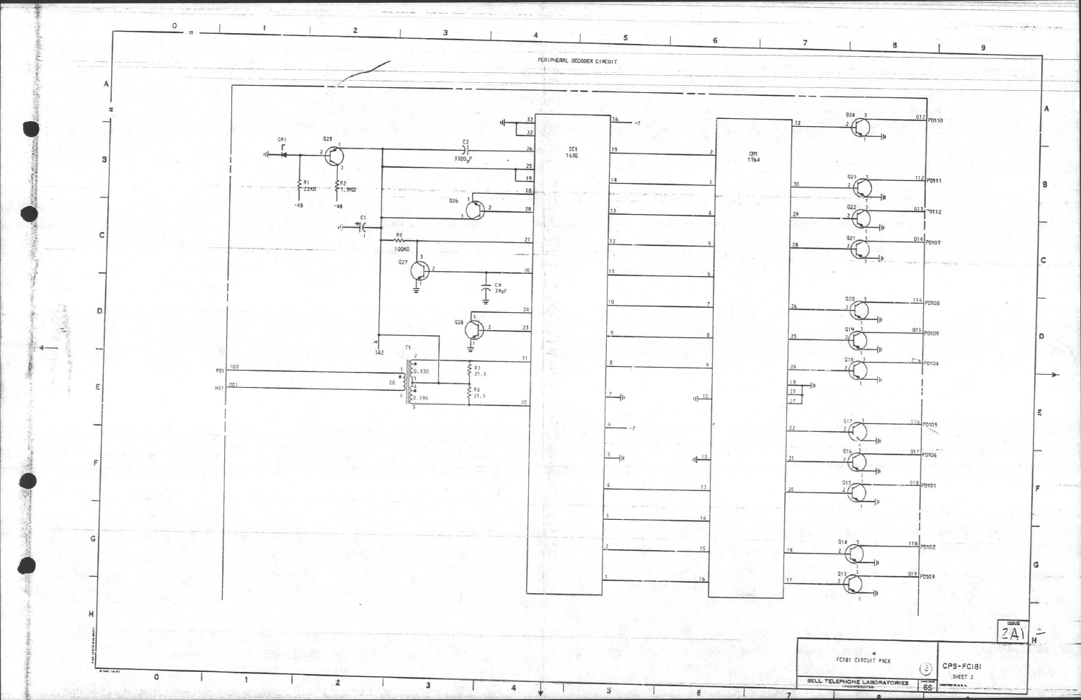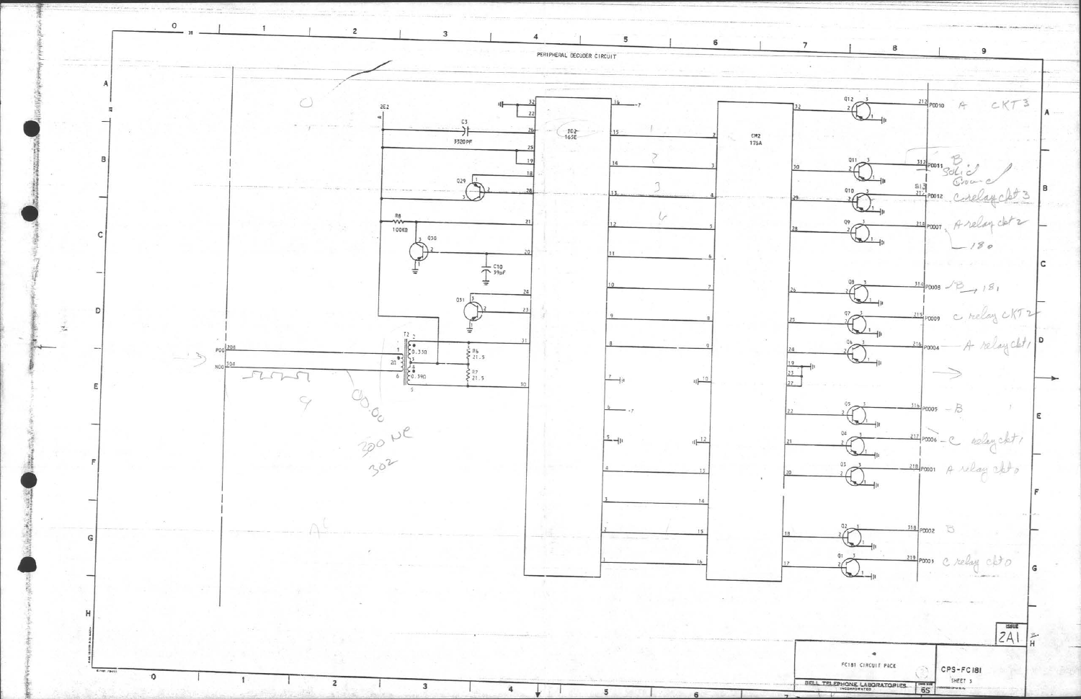

 $\overline{7}$ 8 9  $\frac{2}{2}$  $CKT3$  $21$  $A$  $2$ PD010  $31$ PD011  $313$  $Q1Q$ elay clot 3  $\sqrt[2]{\frac{1}{2}}$  $\sqrt{2}$ PD012  $\overline{+}$  $\bigoplus_{i=1}^{n}$ Arelay clot 2 0007  $-180$  $\mathbf{C}$  $\bigoplus^{\mathbb{S}}$  $\frac{314}{10008}$  / B / 8  $\begin{picture}(120,110) \put(15,110){\makebox(0,0){$\cdots$}} \put(15,110){\makebox(0,0){$\cdots$}} \put(15,110){\makebox(0,0){$\cdots$}} \put(15,110){\makebox(0,0){$\cdots$}} \put(15,110){\makebox(0,0){$\cdots$}} \put(15,110){\makebox(0,0){$\cdots$}} \put(15,110){\makebox(0,0){$\cdots$}} \put(15,110){\makebox(0,0){$\cdots$}} \put(15,110){\makebox(0,0){$\cdots$}}$ c relay CKT: enm Joseph D A relay cht PD004  $\overline{\phantom{a}}$  $P_{0005} - B$  $Q4$ 217 paros - C aclay cht/  $\bigoplus$ <sup>05</sup> 218 poso A relay ablo E  $\frac{318}{20002}$  5  $\sum_{i=1}^{d}$ 219 ponos c relay chto  $|2A|$  $\frac{1}{\pi}$  $\bullet$ FC181 CIRCUIT PACK CPS-FC181 SHEET 3 **RELL TELEPHONE LABORATOPIES** ouse.